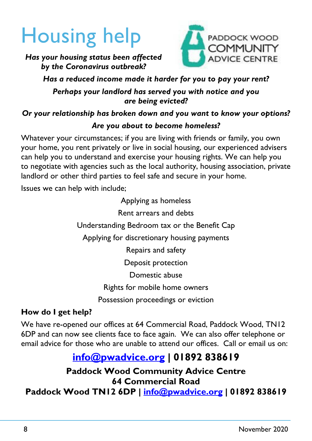# Housing help



*Has your housing status been affected by the Coronavirus outbreak?*

#### *Has a reduced income made it harder for you to pay your rent? Perhaps your landlord has served you with notice and you are being evicted?*

## *Or your relationship has broken down and you want to know your options? Are you about to become homeless?*

Whatever your circumstances; if you are living with friends or family, you own your home, you rent privately or live in social housing, our experienced advisers can help you to understand and exercise your housing rights. We can help you to negotiate with agencies such as the local authority, housing association, private landlord or other third parties to feel safe and secure in your home.

Issues we can help with include;

Applying as homeless Rent arrears and debts Understanding Bedroom tax or the Benefit Cap Applying for discretionary housing payments Repairs and safety Deposit protection Domestic abuse Rights for mobile home owners Possession proceedings or eviction

### **How do I get help?**

We have re-opened our offices at 64 Commercial Road, Paddock Wood, TN12 6DP and can now see clients face to face again. We can also offer telephone or email advice for those who are unable to attend our offices. Call or email us on:

## **info@pwadvice.org | 01892 838619**

**Paddock Wood Community Advice Centre 64 Commercial Road**

**Paddock Wood TN12 6DP | info@pwadvice.org | 01892 838619**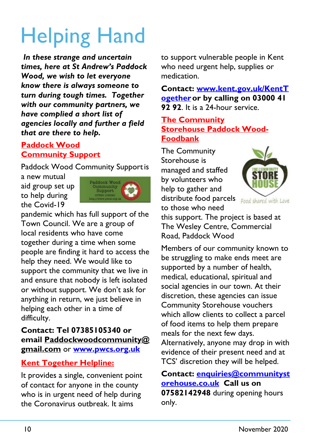# Helping Hand

 *In these strange and uncertain times, here at St Andrew's Paddock Wood, we wish to let everyone know there is always someone to turn during tough times. Together with our community partners, we have complied a short list of agencies locally and further a field that are there to help.*

## **Paddock Wood Community Support**

Paddock Wood Community Support is

a new mutual aid group set up to help during the Covid-19



pandemic which has full support of the Town Council. We are a group of local residents who have come together during a time when some people are finding it hard to access the help they need. We would like to support the community that we live in and ensure that nobody is left isolated or without support. We don't ask for anything in return, we just believe in helping each other in a time of difficulty.

#### **Contact: Tel 07385105340 or email Paddockwoodcommunity@ gmail.com** or **www.pwcs.org.uk**

### **Kent Together Helpline:**

It provides a single, convenient point of contact for anyone in the county who is in urgent need of help during the Coronavirus outbreak. It aims

to support vulnerable people in Kent who need urgent help, supplies or medication.

**Contact: www.kent.gov.uk/KentT ogetheror by calling on 03000 41 92 92**. It is a 24-hour service.

#### **The Community Storehouse Paddock Wood-Foodbank**

The Community Storehouse is managed and staffed by volunteers who help to gather and distribute food parcels to those who need



this support. The project is based at The Wesley Centre, Commercial Road, Paddock Wood

Members of our community known to be struggling to make ends meet are supported by a number of health, medical, educational, spiritual and social agencies in our town. At their discretion, these agencies can issue Community Storehouse vouchers which allow clients to collect a parcel of food items to help them prepare meals for the next few days. Alternatively, anyone may drop in with evidence of their present need and at TCS' discretion they will be helped.

#### **Contact: enquiries@communityst orehouse.co.uk Call us on 07582142948** during opening hours only.